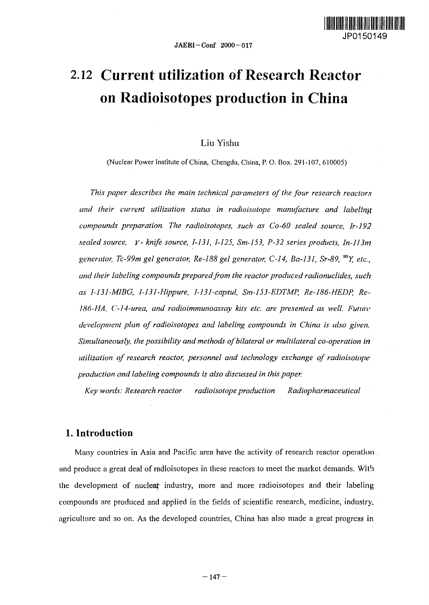

# 2.12 Current utilization of Research Reactor on Radioisotopes production in China

### Liu Yishu

(Nuclear Power Institute of China, Chengdu, China, P. O. Box. 291-107, 610005)

*This paper describes the main technical parameters of the four research reactors and their current utilization status in radioisotope manufacture and labeling compounds preparation. The radioisotopes, such as Co-60 sealed source, Ir-192 sealed source, Y- knife source, 1-131, 1-125, Sm-153, P-32 series products, ln-113tH generator, Tc-99m gel generator, Re-188 gel generator, C-14, Ba-131, Sr-89,<sup>9</sup>°Y, etc., and their labeling compounds prepared from the reactor produced radionuclides, sudh as 1-131-MIBG, 1-131-Hippure, I-131-capsul, Sm-153-EDTMP, Re-186-HEDP, Re-186-HA, ('-14-urea, and radioimmunoassay kits etc. are presented as well. Future development plan of radioisotopes and labeling compounds in China is also given. Simultaneously, the possibility and methods of bilateral or multilateral co-operation in utilization of research reactor, personnel and technology exchange of radioisotope production and labeling compounds is also discussed in this paper.*

*Key words: Research reactor radioisotope production Radiopharmaceutical*

## 1. Introduction

Many countries in Asia and Pacific area have the activity of research reactor operation . and produce a great deal of radioisotopes in these reactors to meet the market demands. With the development of nuclear industry, more and more radioisotopes and their labeling compounds are produced and applied in the fields of scientific research, medicine, industry, agriculture and so on. As the developed countries, China has also made a great progress in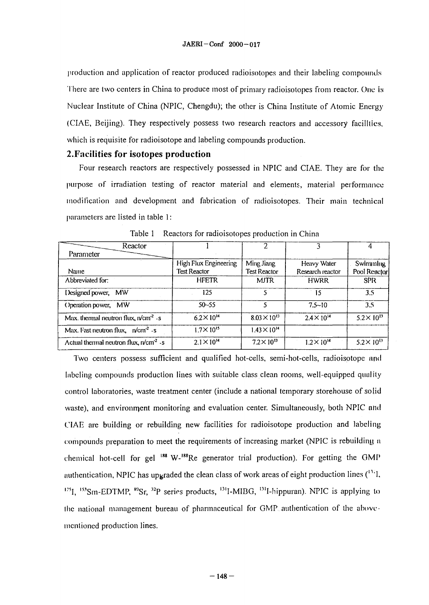production and application of reactor produced radioisotopes and their labeling compounds There are two centers in China to produce most of primary radioisotopes from reactor. One is Nuclear Institute of China (NPIC, Chengdu); the other is China Institute of Atomic Energy (CIAE, Beijing). They respectively possess two research reactors and accessory facilities, which is requisite for radioisotope and labeling compounds production.

#### 2.FaciIities for isotopes production

Four research reactors are respectively possessed in NPIC and CIAE. They are for the purpose of irradiation testing of reactor material and elements, material performance modification and development and fabrication of radioisotopes. Their main technical parameters are listed in table 1:

| Reactor                                        |                       |                       |                      |                      |
|------------------------------------------------|-----------------------|-----------------------|----------------------|----------------------|
| Parameter                                      |                       |                       |                      |                      |
|                                                | High Flux Engineering | Ming Jiang            | Heavy Water          | Swimmling            |
| Name                                           | <b>Test Reactor</b>   | <b>Test Reactor</b>   | Research reactor     | Pool Reactor         |
| Abbreviated for:                               | <b>HFETR</b>          | <b>MJTR</b>           | <b>HWRR</b>          | <b>SPR</b>           |
| Designed power,<br><b>MW</b>                   | 125                   |                       | $-15$                | 1.5                  |
| Operation power, MW                            | $50 - 55$             | 5                     | $7.5 - 10$           | 3.5                  |
| Max. thermal neutron flux, $n/cm^2 \cdot s$    | $6.2 \times 10^{14}$  | $8.03 \times 10^{13}$ | $2.4 \times 10^{14}$ | $5.2 \times 10^{13}$ |
| Max. Fast neutron flux, $n/cm^2$ .s            | $1.7 \times 10^{15}$  | $1.43 \times 10^{14}$ |                      |                      |
| Actual thenmal neutron flux, $n/cm2$ $\cdot s$ | $2.1 \times 10^{14}$  | $7.2 \times 10^{13}$  | $1.2 \times 10^{14}$ | $5.2 \times 10^{13}$ |

Table 1 Reactors for radioisotopes production in China

Two centers possess sufficient and qualified hot-cells, semi-hot-cells, radioisotope and labeling compounds production lines with suitable class clean rooms, well-equipped quality control laboratories, waste treatment center (include a national temporary storehouse of solid waste), and environment monitoring and evaluation center. Simultaneously, both NPIC and CIAE are building or rebuilding new facilities for radioisotope production and labeling compounds preparation to meet the requirements of increasing market (NPIC is rebuilding n chemical hot-cell for gel <sup>188</sup> W-<sup>188</sup>Re generator trial production). For getting the GMP authentication, NPIC has upgraded the clean class of work areas of eight production lines ( $^{11}$ ), <sup>125</sup>I, <sup>153</sup>Sm-EDTMP, <sup>89</sup>Sr, <sup>32</sup>P series products, <sup>131</sup>I-MIBG, <sup>131</sup>I-hippuran). NPIC is applying to the national management bureau of pharmaceutical for  $GMP$  authentication of the abovementioned production lines.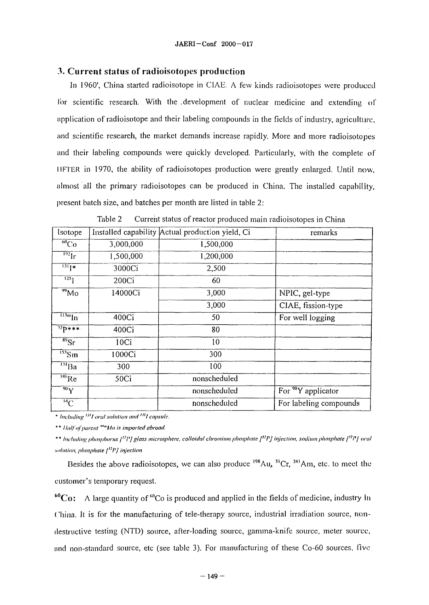#### *3.* Current status of radioisotopes production

In I960', China started radioisotope in CIAE. A few kinds radioisotopes were produced for scientific research. With the development of nuclear medicine and extending of application of radioisotope and their labeling compounds in the fields of industry, agriculture, and scientific research, the market demands increase rapidly. More and more radioisotopes and their labeling compounds were quickly developed. Particularly, with the complete of HFTER in 1970, the ability of radioisotopes production were greatly enlarged. Until now, almost all the primary radioisotopes can be produced in China. The installed capability, present batch size, and batches per month are listed in table 2:

| Isotope                       |                  | Installed capability Actual production yield, Ci | remarks                       |
|-------------------------------|------------------|--------------------------------------------------|-------------------------------|
| $\overline{^{60}Co}$          | 3,000,000        | 1,500,000                                        |                               |
| $\overline{^{192}}$ lr        | 1,500,000        | 1,200,000                                        |                               |
| $\overline{^{131}1*}$         | 3000Ci           | 2,500                                            |                               |
| $\overline{125}$              | 200Ci            | 60                                               |                               |
| $\overline{^{99}}$ Mo         | 14000Ci          | 3,000                                            | NPIC, gel-type                |
|                               |                  | 3,000                                            | CIAE, fission-type            |
| $\overline{113m}$ In          | 400Ci            | 50                                               | For well logging              |
| $^{32}P***$                   | 400Ci            | 80                                               |                               |
| $\overline{{}^{89}\text{Sr}}$ | 10 <sub>ci</sub> | 10                                               |                               |
| $\frac{153}{5}$ Sm            | 1000Ci           | 300                                              |                               |
| $\overline{^{131}\text{Ba}}$  | 300              | 100                                              |                               |
| $\sqrt[186]{Re}$              | 50Ci             | nonscheduled                                     |                               |
| $\overline{^{90}\text{Y}}$    |                  | nonscheduled                                     | For $\sqrt[90]{9}$ applicator |
| $\overline{^{14}\text{C}}$    |                  | nonscheduled                                     | For labeling compounds        |

Table 2 Current status of reactor produced main radioisotopes in China

\* *Including '"I oral solution and UII capsule.*

*\*\* Half of parent "'"'Mo is imported abroad.*

\* \* *Including phosphorus* /'"'/'/ *glass microsphere. colloidal chromium phosphate [>!P] injection, sodium phosphate [>7Pj oral solution, phosphate [)2P] injection*

Besides the above radioisotopes, we can also produce <sup>198</sup>Au, <sup>51</sup>Cr, <sup>241</sup>Am, etc. to meet the customer's temporary request.

 $^{60}\text{Co}:$  A large quantity of  $^{60}\text{Co}$  is produced and applied in the fields of medicine, industry In China. It is for the manufacturing of tele-therapy source, industrial irradiation source, nondestructive testing (NTD) source, after-loading source, gamma-knife source, meter source, **and** non-standard source, etc (see table 3). For manufacturing of these Co-60 sources, live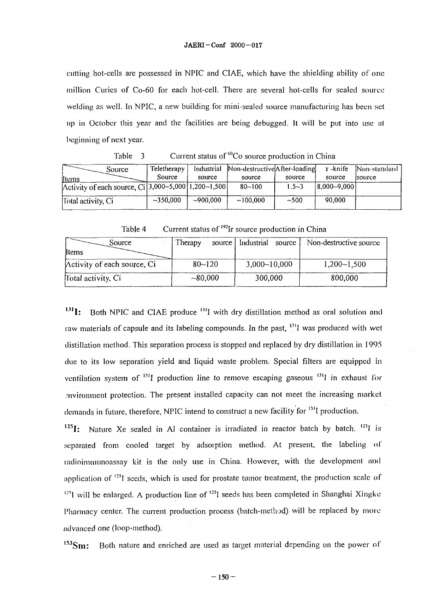cutting hot-cells are possessed in NPIC and CIAE, which have the shielding ability of one million Curies of Co-60 for each hot-cell. There are several hot-cells for sealed source welding as well. In NPIC, a new building for mini-sealed source manufacturing has been set up in October this year and the facilities are being debugged. It will be put into use at beginning of next year.

| .                                                                                         |             |            | Current status or Co source production in Cuina |           |             |               |
|-------------------------------------------------------------------------------------------|-------------|------------|-------------------------------------------------|-----------|-------------|---------------|
| Source                                                                                    | Teletherapy | Industrial | Non-destructive After-loading                   |           | Y -knife    | Non-standard  |
| ltems.                                                                                    | Source      | source     | source                                          | source    | source      | <i>source</i> |
| Activity of each source, Ci <sup>1</sup> 3,000~5,000 <sup>1</sup> ,200~1,500 <sup>1</sup> |             |            | $80 - 100$                                      | $1.5 - 3$ | 8,000~9,000 |               |
| Total activity, Ci                                                                        | $-350,000$  | $-900,000$ | ~100.000                                        | $-500$    | 90.000      |               |

Table 3 Current status of <sup>60</sup>Co source production in China

Table  $4$  Current status of <sup>192</sup>Ir source production in China

| Source<br>Items                      | Therapy    | source   Industrial source | Non-destructive source |
|--------------------------------------|------------|----------------------------|------------------------|
| $\Lambda$ ctivity of each source, Ci | $80 - 120$ | 3,000~10,000               | $1,200 - 1,500$        |
| Hotal activity, Ci                   | ~10000     | 300,000                    | 800,000                |

 $^{131}$ I: Both NPIC and CIAE produce  $^{131}$ I with dry distillation method as oral solution and raw materials of capsule and its labeling compounds. In the past,  $\frac{131}{11}$  was produced with wet distillation method. This separation process is stopped and replaced by dry distillation in 1995 due to its low separation yield and liquid waste problem. Special filters are equipped in ventilation system of <sup>131</sup>I production line to remove escaping gaseous <sup>131</sup>I in exhaust for -•nvironment protection. The present installed capacity can not meet the increasing market demands in future, therefore, NPIC intend to construct a new facility for <sup>131</sup>I production.

 $^{125}$ I: Nature Xe sealed in Al container is irradiated in reactor batch by batch.  $^{125}$ l is separated from cooled target by adsorption method. At present, the labeling of radioimmunoassay kit is the only use in China. However, with the development and application of <sup>125</sup>I seeds, which is used for prostate tumor treatment, the production scale of <sup>125</sup>*l* will be enlarged. A production line of <sup>125</sup>*l* seeds has been completed in Shanghai Xingke Pharmacy center. The current production process (batch-method) will be replaced by more advanced one (loop-method).

 $153$ Sm: Both nature and enriched are used as target material depending on the power of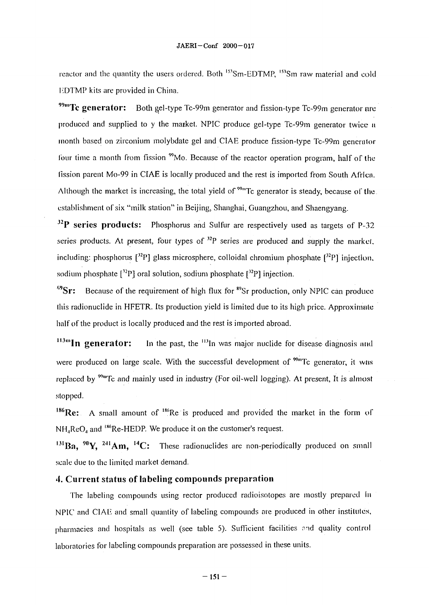reactor and the quantity the users ordered. Both <sup>153</sup>Sm-EDTMP, <sup>153</sup>Sm raw material and cold **EDTMP** kits are provided in China.

<sup>99m</sup>Tc generator: Both gel-type Tc-99m generator and fission-type Tc-99m generator arc produced and supplied to y the market. NPIC produce gel-type Tc-99m generator twice a month based on zirconium molybdate gel and CIAE produce fission-type Tc-99m generator four time a month from fission <sup>99</sup>Mo. Because of the reactor operation program, half of the fission parent Mo-99 in CIAE is locally produced and the rest is imported from South Africa. Although the market is increasing, the total yield of  $\frac{99 \text{ m}}{2}$  generator is steady, because of the establishment of six "milk station" in Beijing, Shanghai, Guangzhou, and Shaengyang.

**J2P series products:** Phosphorus and Sulfur are respectively used as targets of P-32 series products. At present, four types of  $^{32}P$  series are produced and supply the market. including: phosphorus  $[3^{2}P]$  glass microsphere, colloidal chromium phosphate  $[3^{2}P]$  injection, sodium phosphate  $[{}^{32}P]$  oral solution, sodium phosphate  $[{}^{32}P]$  injection.

<sup>89</sup>Sr: Because of the requirement of high flux for <sup>89</sup>Sr production, only NPIC can produce **this** radionuclide in HFETR. Its production yield is limited due to its high price. Approximate half of the product is locally produced and the rest is imported abroad.

<sup>113m</sup>In generator: In the past, the <sup>113</sup>In was major nuclide for disease diagnosis and were produced on large scale. With the successful development of  $\frac{90 \text{ m}}{10}$  generator, it was replaced by <sup>99m</sup>Tc and mainly used in industry (For oil-well logging). At present, It is almost stopped.

 $186$ Re: A small amount of  $186$ Re is produced and provided the market in the form of  $NH_4$ ReO<sub>4</sub> and <sup>186</sup>Re-HEDP. We produce it on the customer's request.

 $^{131}$ Ba,  $^{90}$ Y,  $^{241}$ Am,  $^{14}$ C: These radionuclides are non-periodically produced on smal scale due to the limited market demand.

#### 4. Current status of labeling compounds preparation

The labeling compounds using rector produced radioisotopes are mostly prepared in NPIC and CIAE and small quantity of labeling compounds are produced in other **institutes,** pharmacies and hospitals as well (see table 5). Sufficient facilities and quality control laboratories for labeling compounds preparation are possessed in these units.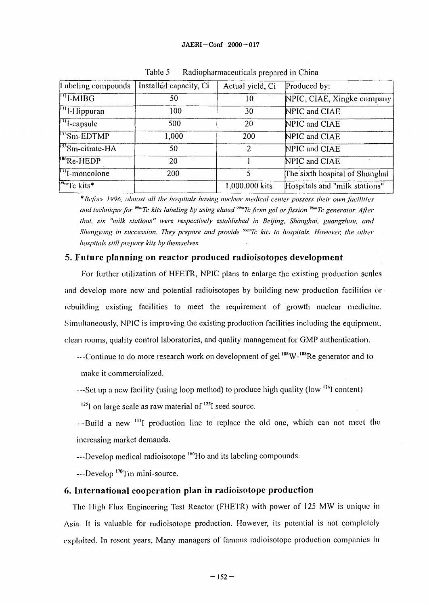#### **JAERI-Conf 2000-017**

| Labeling compounds                        | Installed capacity, Ci | Actual yield, Ci | Produced by:                   |
|-------------------------------------------|------------------------|------------------|--------------------------------|
| $\left  \right $ -MIBG                    | 50                     | 10               | NPIC, CIAE, Xingke company     |
| $\mathbb{P}$ <sup>[1</sup> ]-Hippuran     | 100                    | 30               | NPIC and CIAE                  |
| $\sqrt{1 + \text{capsule}}$               | 500                    | 20               | NPIC and CIAE                  |
| $\sqrt{\frac{153 \text{S}}{15}}$ Sm-EDTMP | 1,000                  | 200              | NPIC and CIAE                  |
| $^{153}$ Sm-citrate-HA                    | 50                     | 2                | NPIC and CIAE                  |
| <sup>IRG</sup> Re-HEDP                    | 20                     |                  | NPIC and CIAE                  |
| $\sqrt[n]{\text{1-moncolone}}$            | 200                    | 5                | The sixth hospital of Shanghal |
| $\sqrt{p_{\text{m}}T_c}$ kits*            |                        | 1,000,000 kits   | Hospitals and "milk stations"  |

Table 5 Radiopharmaceuticals prepared in China

\* *Before 1996, almost all the hospitals having nuclear medical center possess their own facilities and technique for <sup>vym</sup>Tc kits labeling by using eluted <sup>vym</sup>Tc from gel or fission <sup>vym</sup>Tc generator. After that, six "milk stations" were respectively established in Beijing, Shanghai, guangzhou, and Shengyang in succession. They prepare and provide <sup>99m</sup>Tc kits to hospitals. However, the other hospitals still prepare kits by themselves.*

#### **5. Future planning on reactor produced radioisotopes development**

For further utilization of HFETR, NPIC plans to enlarge the existing production scales and develop more new and potential radioisotopes by building new production facilities or rebuilding existing facilities to meet the requirement of growth nuclear medicine. Simultaneously, NPIC is improving the existing production facilities including the equipment, clean rooms, quality control laboratories, and quality management for GMP authentication.

---Continue to do more research work on development of gel <sup>188</sup>W-<sup>188</sup>Re generator and to make it commercialized.

---Set up a new facility (using loop method) to produce high quality (low <sup>126</sup>I content)

 $^{125}$ I on large scale as raw material of  $^{125}$ I seed source.

---Build a new <sup>131</sup>I production line to replace the old one, which can not meet the increasing market demands.

---Develop medical radioisotope <sup>166</sup>Ho and its labeling compounds.

---Develop <sup>170</sup>Tm mini-source.

#### **6. International cooperation plan in radioisotope production**

The High Flux Engineering Test Reactor (FHETR) with power of 125 MW is unique in Asia. It is valuable for radioisotope production. However, its potential is not completely exploited. In resent years, Many managers of famous radioisotope production companies in